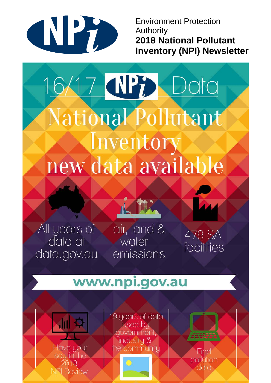

**Environment Protection Authority 2018 National Pollutant Inventory (NPI) Newsletter** 

# 16/17 NP; Data National Pollutant Inventory new data available

All years of data at data.gov.au

air, land & water emissions

479 SA facilities

## www.npi.gov.au



19 years of data used by government, industry & the community

Find pollution data